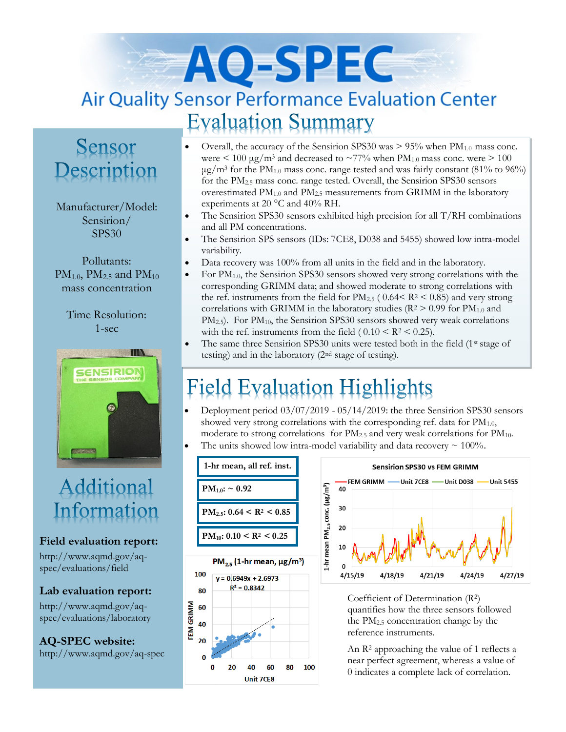# AO-SPEC **Air Quality Sensor Performance Evaluation Center Evaluation Summary**

### Sensor Description

Manufacturer/Model: Sensirion/ SPS30

Pollutants:  $PM_{1.0}$ ,  $PM_{2.5}$  and  $PM_{10}$ mass concentration

Time Resolution: 1-sec



## Additional Information

#### **Field evaluation report:**

http://www.aqmd.gov/aqspec/evaluations/field

#### **Lab evaluation report:**

http://www.aqmd.gov/aqspec/evaluations/laboratory

**AQ-SPEC website:**  http://www.aqmd.gov/aq-spec

- Overall, the accuracy of the Sensirion SPS30 was  $> 95\%$  when  $PM_{1.0}$  mass conc. were  $\leq 100 \mu g/m^3$  and decreased to  $\sim 77\%$  when PM<sub>1.0</sub> mass conc. were  $\geq 100$  $\mu$ g/m<sup>3</sup> for the PM<sub>1.0</sub> mass conc. range tested and was fairly constant (81% to 96%) for the PM2.5 mass conc. range tested. Overall, the Sensirion SPS30 sensors overestimated  $PM_{1.0}$  and  $PM_{2.5}$  measurements from GRIMM in the laboratory experiments at 20 °C and 40% RH.
- The Sensirion SPS30 sensors exhibited high precision for all T/RH combinations and all PM concentrations.
- The Sensirion SPS sensors (IDs: 7CE8, D038 and 5455) showed low intra-model variability.
- Data recovery was 100% from all units in the field and in the laboratory.
- For PM1.0, the Sensirion SPS30 sensors showed very strong correlations with the corresponding GRIMM data; and showed moderate to strong correlations with the ref. instruments from the field for  $PM_{2.5}$  ( 0.64 < R<sup>2</sup> < 0.85) and very strong correlations with GRIMM in the laboratory studies ( $R^2 > 0.99$  for  $PM_{1.0}$  and PM<sub>2.5</sub>). For PM<sub>10</sub>, the Sensirion SPS30 sensors showed very weak correlations with the ref. instruments from the field  $(0.10 \leq R^2 \leq 0.25)$ .
- The same three Sensirion SPS30 units were tested both in the field  $(1<sup>st</sup> stage of$ testing) and in the laboratory (2nd stage of testing).

## **Field Evaluation Highlights**

- Deployment period 03/07/2019 05/14/2019: the three Sensirion SPS30 sensors showed very strong correlations with the corresponding ref. data for  $PM_{1.0}$ , moderate to strong correlations for  $PM_{2.5}$  and very weak correlations for  $PM_{10}$ .
- The units showed low intra-model variability and data recovery  $\sim 100\%$ .





Coefficient of Determination (R2) quantifies how the three sensors followed the PM2.5 concentration change by the reference instruments.

An R<sup>2</sup> approaching the value of 1 reflects a near perfect agreement, whereas a value of 0 indicates a complete lack of correlation.